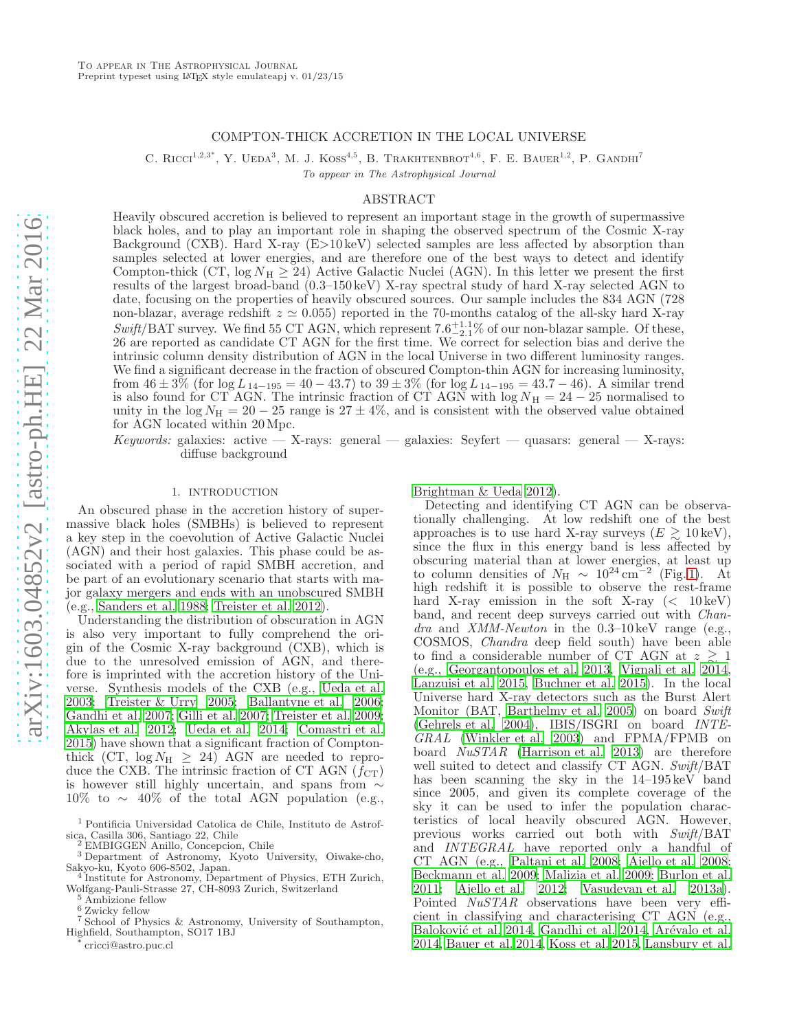# COMPTON-THICK ACCRETION IN THE LOCAL UNIVERSE

C. RICCI<sup>1,2,3\*</sup>, Y. UEDA<sup>3</sup>, M. J. KOSS<sup>4,5</sup>, B. TRAKHTENBROT<sup>4,6</sup>, F. E. BAUER<sup>1,2</sup>, P. GANDHI<sup>7</sup>

To appear in The Astrophysical Journal

### ABSTRACT

Heavily obscured accretion is believed to represent an important stage in the growth of supermassive black holes, and to play an important role in shaping the observed spectrum of the Cosmic X-ray Background (CXB). Hard X-ray (E>10 keV) selected samples are less affected by absorption than samples selected at lower energies, and are therefore one of the best ways to detect and identify Compton-thick (CT,  $\log N_{\rm H} \geq 24$ ) Active Galactic Nuclei (AGN). In this letter we present the first results of the largest broad-band (0.3–150 keV) X-ray spectral study of hard X-ray selected AGN to date, focusing on the properties of heavily obscured sources. Our sample includes the 834 AGN (728 non-blazar, average redshift  $z \approx 0.055$ ) reported in the 70-months catalog of the all-sky hard X-ray  $Swift/BAT$  survey. We find 55 CT AGN, which represent  $7.6^{+1.1}_{-2.1}\%$  of our non-blazar sample. Of these, 26 are reported as candidate CT AGN for the first time. We correct for selection bias and derive the intrinsic column density distribution of AGN in the local Universe in two different luminosity ranges. We find a significant decrease in the fraction of obscured Compton-thin AGN for increasing luminosity, from  $46 \pm 3\%$  (for  $\log L_{14-195} = 40 - 43.7$ ) to  $39 \pm 3\%$  (for  $\log L_{14-195} = 43.7 - 46$ ). A similar trend is also found for CT AGN. The intrinsic fraction of CT AGN with  $log N<sub>H</sub> = 24 - 25$  normalised to unity in the log  $N_{\rm H} = 20 - 25$  range is  $27 \pm 4\%$ , and is consistent with the observed value obtained for AGN located within 20Mpc.

Keywords: galaxies: active — X-rays: general — galaxies: Seyfert — quasars: general — X-rays: diffuse background

## 1. INTRODUCTION

An obscured phase in the accretion history of supermassive black holes (SMBHs) is believed to represent a key step in the coevolution of Active Galactic Nuclei (AGN) and their host galaxies. This phase could be associated with a period of rapid SMBH accretion, and be part of an evolutionary scenario that starts with major galaxy mergers and ends with an unobscured SMBH (e.g., [Sanders et al. 1988](#page-5-0); [Treister et al. 2012\)](#page-5-1).

Understanding the distribution of obscuration in AGN is also very important to fully comprehend the origin of the Cosmic X-ray background (CXB), which is due to the unresolved emission of AGN, and therefore is imprinted with the accretion history of the Universe. Synthesis models of the CXB (e.g., [Ueda et al.](#page-5-2) [2003;](#page-5-2) [Treister & Urry 2005;](#page-5-3) [Ballantyne et al. 2006;](#page-5-4) [Gandhi et al. 2007;](#page-5-5) [Gilli et al. 2007;](#page-5-6) [Treister et al. 2009;](#page-5-7) [Akylas et al. 2012;](#page-5-8) [Ueda et al. 2014](#page-5-9); [Comastri et al.](#page-5-10) [2015\)](#page-5-10) have shown that a significant fraction of Comptonthick (CT,  $log N<sub>H</sub> \geq 24$ ) AGN are needed to reproduce the CXB. The intrinsic fraction of CT AGN  $(f_{CT})$ is however still highly uncertain, and spans from ∼ 10% to  $\sim$  40% of the total AGN population (e.g.,

cricci@astro.puc.cl

[Brightman & Ueda 2012\)](#page-5-11).

Detecting and identifying CT AGN can be observationally challenging. At low redshift one of the best approaches is to use hard X-ray surveys  $(E \geq 10 \,\text{keV})$ , since the flux in this energy band is less affected by obscuring material than at lower energies, at least up<br>to column densities of  $N_{\rm H} \sim 10^{24} \rm \, cm^{-2}$  (Fig.1). At high redshift it is possible to observe the rest-frame hard X-ray emission in the soft X-ray  $(< 10 \,\text{keV})$ band, and recent deep surveys carried out with Chandra and XMM-Newton in the  $0.3-10 \,\text{keV}$  range (e.g., COSMOS, Chandra deep field south) have been able to find a considerable number of CT AGN at  $z \geq 1$ (e.g., [Georgantopoulos et al. 2013,](#page-5-12) [Vignali et al. 2014](#page-5-13), [Lanzuisi et al. 2015,](#page-5-14) [Buchner et al. 2015\)](#page-5-15). In the local Universe hard X-ray detectors such as the Burst Alert Monitor (BAT, [Barthelmy et al. 2005](#page-5-16)) on board Swift [\(Gehrels et al. 2004](#page-5-17)), IBIS/ISGRI on board INTE-GRAL [\(Winkler et al. 2003](#page-5-18)) and FPMA/FPMB on board NuSTAR [\(Harrison et al. 2013\)](#page-5-19) are therefore well suited to detect and classify CT AGN. Swift/BAT has been scanning the sky in the 14–195 keV band since 2005, and given its complete coverage of the sky it can be used to infer the population characteristics of local heavily obscured AGN. However, previous works carried out both with Swift/BAT and INTEGRAL have reported only a handful of CT AGN (e.g., [Paltani et al. 2008;](#page-5-20) [Ajello et al. 2008](#page-5-21); [Beckmann et al. 2009](#page-5-22); [Malizia et al. 2009](#page-5-23); [Burlon et al.](#page-5-24) [2011;](#page-5-24) [Ajello et al. 2012;](#page-5-25) [Vasudevan et al. 2013a\)](#page-5-26). Pointed NuSTAR observations have been very efficient in classifying and characterising CT AGN (e.g., Baloković et al. 2014, [Gandhi et al. 2014,](#page-5-28) Arévalo et al. [2014,](#page-5-29) [Bauer et al. 2014,](#page-5-30) [Koss et al. 2015](#page-5-31), [Lansbury et al.](#page-5-32)

<sup>1</sup> Pontificia Universidad Catolica de Chile, Instituto de Astrofsica, Casilla 306, Santiago 22, Chile

EMBIGGEN Anillo, Concepcion, Chile

<sup>3</sup> Department of Astronomy, Kyoto University, Oiwake-cho, Sakyo-ku, Kyoto 606-8502, Japan.

<sup>&</sup>lt;sup>4</sup> Institute for Astronomy, Department of Physics, ETH Zurich, Wolfgang-Pauli-Strasse 27, CH-8093 Zurich, Switzerland

<sup>&</sup>lt;sup>5</sup> Ambizione fellow

 $^6$  Zwicky fellow

<sup>7</sup> School of Physics & Astronomy, University of Southampton, Highfield, Southampton, SO17 1BJ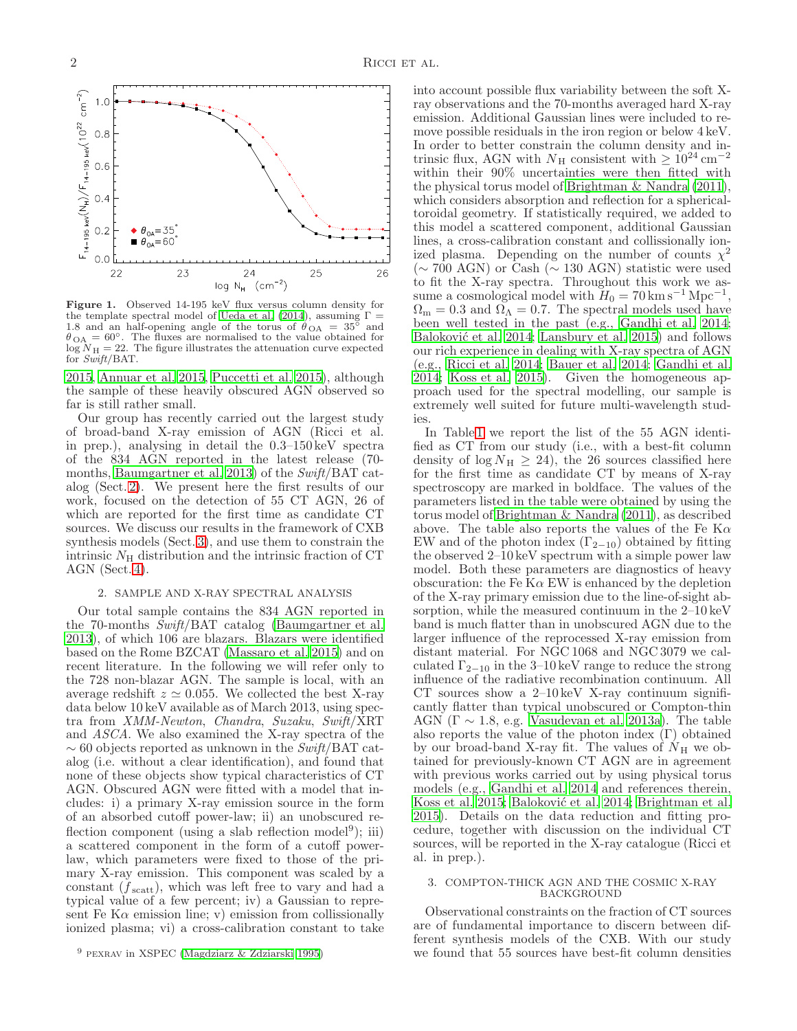

<span id="page-1-0"></span>Figure 1. Observed 14-195 keV flux versus column density for the template spectral model of [Ueda et al. \(2014\)](#page-5-9), assuming  $\Gamma =$ 1.8 and an half-opening angle of the torus of  $\dot{\theta}_{\text{OA}} = 35^{\circ}$  and  $\theta_{\text{OA}} = 60^{\circ}$ . The fluxes are normalised to the value obtained for  $log N<sub>H</sub> = 22$ . The figure illustrates the attenuation curve expected for  $Swift/BAT$ .

[2015,](#page-5-32) [Annuar et al. 2015,](#page-5-33) [Puccetti et al. 2015\)](#page-5-34), although the sample of these heavily obscured AGN observed so far is still rather small.

Our group has recently carried out the largest study of broad-band X-ray emission of AGN (Ricci et al. in prep.), analysing in detail the 0.3–150 keV spectra of the 834 AGN reported in the latest release (70 months, [Baumgartner et al. 2013](#page-5-35)) of the Swift/BAT catalog (Sect. [2\)](#page-1-1). We present here the first results of our work, focused on the detection of 55 CT AGN, 26 of which are reported for the first time as candidate CT sources. We discuss our results in the framework of CXB synthesis models (Sect. [3\)](#page-1-2), and use them to constrain the intrinsic  $N<sub>H</sub>$  distribution and the intrinsic fraction of CT AGN (Sect. [4\)](#page-3-0).

# 2. SAMPLE AND X-RAY SPECTRAL ANALYSIS

<span id="page-1-1"></span>Our total sample contains the 834 AGN reported in the 70-months Swift/BAT catalog [\(Baumgartner et al.](#page-5-35) [2013\)](#page-5-35), of which 106 are blazars. Blazars were identified based on the Rome BZCAT [\(Massaro et al. 2015\)](#page-5-36) and on recent literature. In the following we will refer only to the 728 non-blazar AGN. The sample is local, with an average redshift  $z \approx 0.055$ . We collected the best X-ray data below 10 keV available as of March 2013, using spectra from XMM-Newton, Chandra, Suzaku, Swift/XRT and ASCA. We also examined the X-ray spectra of the  $\sim 60$  objects reported as unknown in the Swift/BAT catalog (i.e. without a clear identification), and found that none of these objects show typical characteristics of CT AGN. Obscured AGN were fitted with a model that includes: i) a primary X-ray emission source in the form of an absorbed cutoff power-law; ii) an unobscured reflection component (using a slab reflection model<sup>9</sup>); iii) a scattered component in the form of a cutoff powerlaw, which parameters were fixed to those of the primary X-ray emission. This component was scaled by a constant  $(f_{scatt})$ , which was left free to vary and had a typical value of a few percent; iv) a Gaussian to represent Fe K $\alpha$  emission line; v) emission from collissionally ionized plasma; vi) a cross-calibration constant to take

<span id="page-1-3"></span>into account possible flux variability between the soft Xray observations and the 70-months averaged hard X-ray emission. Additional Gaussian lines were included to remove possible residuals in the iron region or below 4 keV. In order to better constrain the column density and intrinsic flux, AGN with  $N_H$  consistent with  $\geq 10^{24}$  cm<sup>-2</sup> within their 90% uncertainties were then fitted with the physical torus model of [Brightman & Nandra \(2011](#page-5-38)), which considers absorption and reflection for a sphericaltoroidal geometry. If statistically required, we added to this model a scattered component, additional Gaussian lines, a cross-calibration constant and collissionally ionized plasma. Depending on the number of counts  $\chi^2$ (∼ 700 AGN) or Cash (∼ 130 AGN) statistic were used to fit the X-ray spectra. Throughout this work we assume a cosmological model with  $H_0 = 70 \text{ km s}^{-1} \text{ Mpc}^{-1}$ ,  $\Omega_{\rm m} = 0.3$  and  $\Omega_{\Lambda} = 0.7$ . The spectral models used have been well tested in the past (e.g., [Gandhi et al. 2014](#page-5-28); Baloković et al. 2014; [Lansbury et al. 2015](#page-5-32)) and follows our rich experience in dealing with X-ray spectra of AGN (e.g., [Ricci et al. 2014;](#page-5-39) [Bauer et al. 2014;](#page-5-30) [Gandhi et al.](#page-5-28) [2014;](#page-5-28) [Koss et al. 2015](#page-5-31)). Given the homogeneous approach used for the spectral modelling, our sample is extremely well suited for future multi-wavelength studies.

In Table [1](#page-6-0) we report the list of the 55 AGN identified as CT from our study (i.e., with a best-fit column density of  $\log N_{\rm H} \geq 24$ , the 26 sources classified here for the first time as candidate CT by means of X-ray spectroscopy are marked in boldface. The values of the parameters listed in the table were obtained by using the torus model of [Brightman & Nandra \(2011\)](#page-5-38), as described above. The table also reports the values of the Fe K $\alpha$ EW and of the photon index  $(\Gamma_{2-10})$  obtained by fitting the observed 2–10 keV spectrum with a simple power law model. Both these parameters are diagnostics of heavy obscuration: the Fe K $\alpha$  EW is enhanced by the depletion of the X-ray primary emission due to the line-of-sight absorption, while the measured continuum in the 2–10 keV band is much flatter than in unobscured AGN due to the larger influence of the reprocessed X-ray emission from distant material. For NGC 1068 and NGC 3079 we calculated  $\Gamma_{2-10}$  in the 3–10 keV range to reduce the strong influence of the radiative recombination continuum. All CT sources show a  $2-10 \,\text{keV}$  X-ray continuum significantly flatter than typical unobscured or Compton-thin AGN ( $\Gamma \sim 1.8$ , e.g. [Vasudevan et al. 2013a\)](#page-5-26). The table also reports the value of the photon index (Γ) obtained by our broad-band X-ray fit. The values of  $N_H$  we obtained for previously-known CT AGN are in agreement with previous works carried out by using physical torus models (e.g., [Gandhi et al. 2014](#page-5-28) and references therein, [Koss et al. 2015;](#page-5-31) Baloković et al. 2014; [Brightman et al.](#page-5-40) [2015\)](#page-5-40). Details on the data reduction and fitting procedure, together with discussion on the individual CT sources, will be reported in the X-ray catalogue (Ricci et al. in prep.).

### <span id="page-1-2"></span>3. COMPTON-THICK AGN AND THE COSMIC X-RAY BACKGROUND

Observational constraints on the fraction of CT sources are of fundamental importance to discern between different synthesis models of the CXB. With our study we found that 55 sources have best-fit column densities

<sup>9</sup> pexrav in XSPEC [\(Magdziarz & Zdziarski 1995](#page-5-37))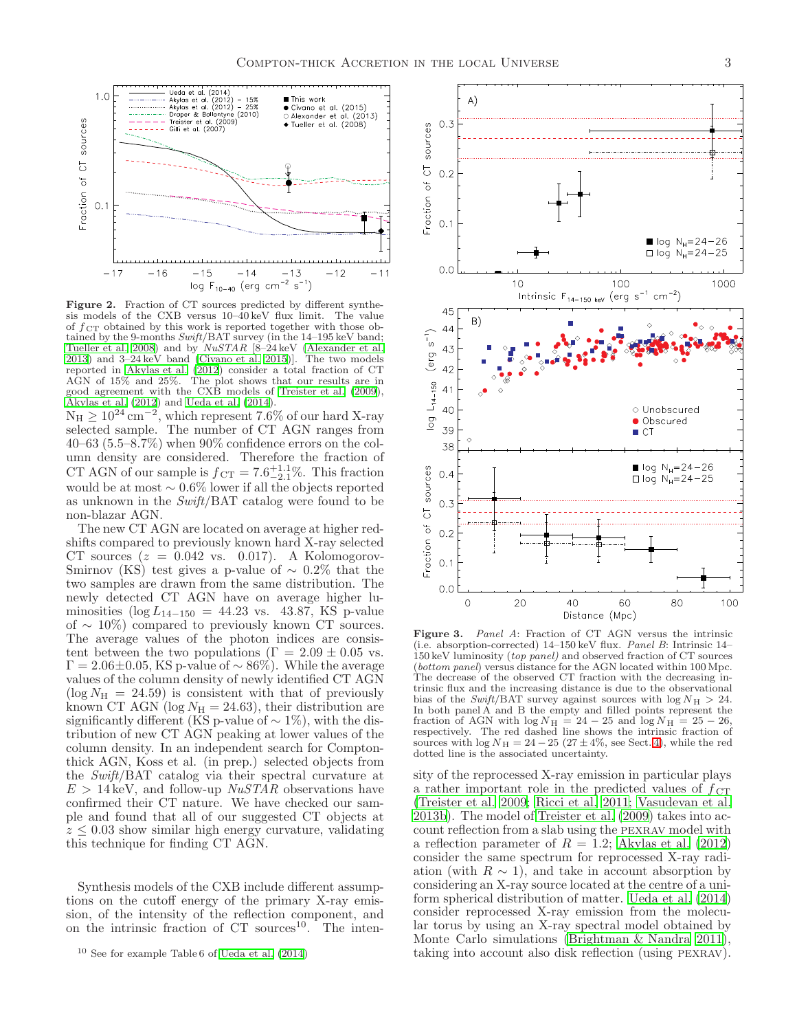

<span id="page-2-0"></span>**Figure 2.** Fraction of CT sources predicted by different synthesis models of the CXB versus 10–40 keV flux limit. The value sis models of the CXB versus  $10-40 \,\text{keV}$  flux limit. of  $f_{\text{CT}}$  obtained by this work is reported together with those obtained by the 9-months  $Swift/BAT$  survey (in the  $14-195$  keV band; [Tueller et al. 2008\)](#page-5-41) and by  $NuSTAR$  [8–24 keV [\(Alexander et al.](#page-5-42) [2013\)](#page-5-42) and 3–24 keV band [\(Civano et al. 2015\)](#page-5-43)]. The two models reported in [Akylas et al. \(2012](#page-5-8)) consider a total fraction of CT AGN of 15% and 25%. The plot shows that our results are in good agreement with the CXB models of [Treister et al. \(2009](#page-5-7)), [Akylas et al. \(2012](#page-5-8)) and [Ueda et al. \(2014\)](#page-5-9).  $N_H \ge 10^{24}$  cm<sup>-2</sup>, which represent 7.6% of our hard X-ray selected sample. The number of CT AGN ranges from 40–63 (5.5–8.7%) when  $90\%$  confidence errors on the column density are considered. Therefore the fraction of CT AGN of our sample is  $f_{\text{CT}} = 7.6^{+1.1}_{-2.1}\%$ . This fraction would be at most  $\sim 0.6\%$  lower if all the objects reported as unknown in the  $Swift/BAT$  catalog were found to be non-blazar AGN.

The new CT AGN are located on average at higher redshifts compared to previously known hard X-ray selected CT sources  $(z = 0.042 \text{ vs. } 0.017)$ . A Kolomogorov-Smirnov (KS) test gives a p-value of  $\sim 0.2\%$  that the two samples are drawn from the same distribution. The newly detected CT AGN have on average higher luminosities ( $\log L_{14-150} = 44.23$  vs. 43.87, KS p-value of  $\sim 10\%$ ) compared to previously known CT sources. The average values of the photon indices are consistent between the two populations ( $\Gamma = 2.09 \pm 0.05$  vs.  $\Gamma = 2.06 \pm 0.05$ , KS p-value of ~ 86%). While the average values of the column density of newly identified CT AGN  $(\log N_H = 24.59)$  is consistent with that of previously known CT AGN (log  $N_{\rm H} = 24.63$ ), their distribution are significantly different (KS p-value of  $\sim 1\%$ ), with the distribution of new CT AGN peaking at lower values of the column density. In an independent search for Comptonthick AGN, Koss et al. (in prep.) selected objects from the Swift/BAT catalog via their spectral curvature at  $E > 14 \text{ keV}$ , and follow-up  $NuSTAR$  observations have confirmed their CT nature. We have checked our sample and found that all of our suggested CT objects at  $z \leq 0.03$  show similar high energy curvature, validating this technique for finding CT AGN.

Synthesis models of the CXB include different assumptions on the cutoff energy of the primary X-ray emission, of the intensity of the reflection component, and on the intrinsic fraction of  $CT$  sources<sup>10</sup>. The inten-



<span id="page-2-1"></span>Figure 3. Panel A: Fraction of CT AGN versus the intrinsic (i.e. absorption-corrected) 14–150 keV flux. Panel B: Intrinsic 14– 150 keV luminosity (top panel) and observed fraction of CT sources (bottom panel) versus distance for the AGN located within 100 Mpc. The decrease of the observed CT fraction with the decreasing intrinsic flux and the increasing distance is due to the observational bias of the Swift/BAT survey against sources with  $log N_H > 24$ . In both panel A and B the empty and filled points represent the fraction of AGN with  $\log N_{\rm H} = 24 - 25$  and  $\log N_{\rm H} = 25 - 26$ , respectively. The red dashed line shows the intrinsic fraction of sources with  $\log N_H = 24 - 25 (27 \pm 4\%, \text{ see Sect. 4}),$  while the red dotted line is the associated uncertainty.

sity of the reprocessed X-ray emission in particular plays a rather important role in the predicted values of  $f_{\text{CT}}$ [\(Treister et al. 2009;](#page-5-7) [Ricci et al. 2011](#page-5-44); [Vasudevan et al.](#page-5-45) [2013b](#page-5-45)). The model of [Treister et al. \(2009\)](#page-5-7) takes into account reflection from a slab using the pexrav model with a reflection parameter of  $R = 1.2$ ; [Akylas et al. \(2012](#page-5-8)) consider the same spectrum for reprocessed X-ray radiation (with  $R \sim 1$ ), and take in account absorption by considering an X-ray source located at the centre of a uniform spherical distribution of matter. [Ueda et al. \(2014](#page-5-9)) consider reprocessed X-ray emission from the molecular torus by using an X-ray spectral model obtained by Monte Carlo simulations [\(Brightman & Nandra 2011](#page-5-38)), taking into account also disk reflection (using pexrav).

 $^{10}$  See for example Table 6 of Ueda et al.  $\left( 2014\right)$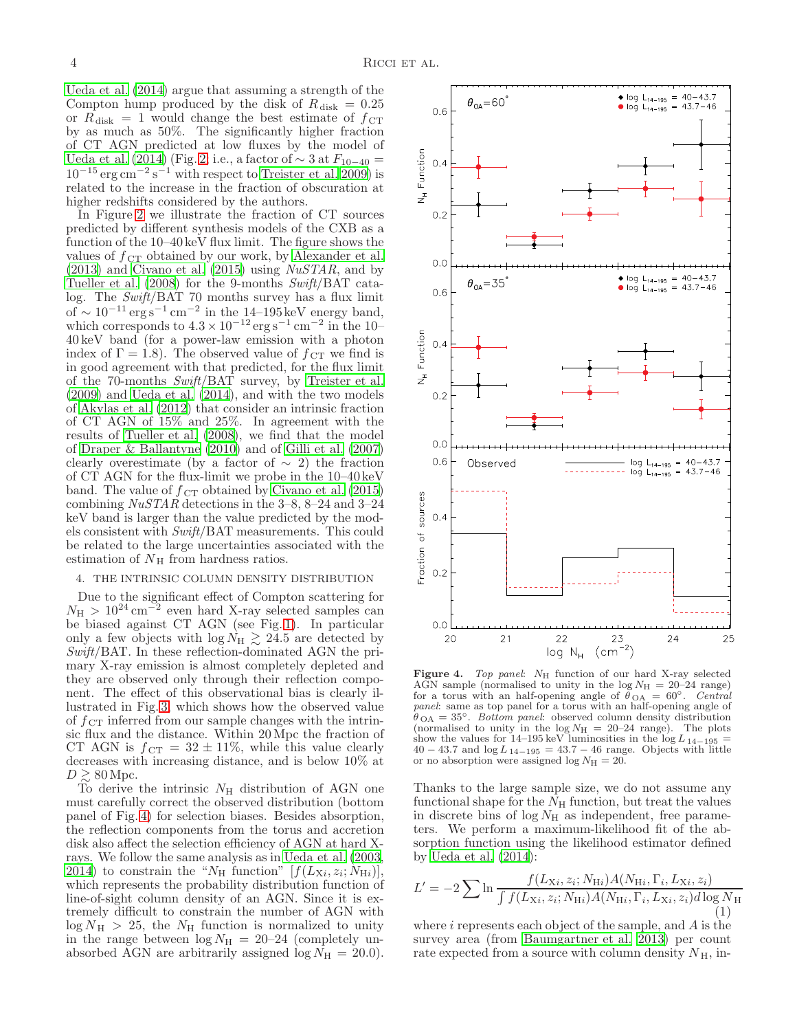[Ueda et al. \(2014\)](#page-5-9) argue that assuming a strength of the Compton hump produced by the disk of  $R_{disk} = 0.25$ or  $R_{\text{disk}} = 1$  would change the best estimate of  $f_{\text{CT}}$ by as much as 50%. The significantly higher fraction of CT AGN predicted at low fluxes by the model of [Ueda et al. \(2014\)](#page-5-9) (Fig. [2;](#page-2-0) i.e., a factor of  $\sim$  3 at  $F_{10-40}$  =  $10^{-15}$  erg cm<sup>-2</sup> s<sup>-1</sup> with respect to [Treister et al. 2009](#page-5-7)) is related to the increase in the fraction of obscuration at higher redshifts considered by the authors.

In Figure [2](#page-2-0) we illustrate the fraction of CT sources predicted by different synthesis models of the CXB as a function of the 10–40 keV flux limit. The figure shows the values of  $f_{\text{CT}}$  obtained by our work, by [Alexander et al.](#page-5-42)  $(2013)$  and Civano et al.  $(2015)$  using *NuSTAR*, and by [Tueller et al. \(2008\)](#page-5-41) for the 9-months Swift/BAT catalog. The Swift/BAT 70 months survey has a flux limit of ~ 10<sup>-11</sup> erg s<sup>-1</sup> cm<sup>-2</sup> in the 14-195 keV energy band, which corresponds to  $4.3 \times 10^{-12}$  erg s<sup>-1</sup> cm<sup>-2</sup> in the 10-40 keV band (for a power-law emission with a photon index of  $\Gamma = 1.8$ ). The observed value of  $f_{\text{CT}}$  we find is in good agreement with that predicted, for the flux limit of the 70-months Swift/BAT survey, by [Treister et al.](#page-5-7) [\(2009\)](#page-5-7) and [Ueda et al. \(2014\)](#page-5-9), and with the two models of [Akylas et al. \(2012\)](#page-5-8) that consider an intrinsic fraction of CT AGN of 15% and 25%. In agreement with the results of [Tueller et al. \(2008\)](#page-5-41), we find that the model of [Draper & Ballantyne \(2010](#page-5-46)) and of [Gilli et al. \(2007](#page-5-6)) clearly overestimate (by a factor of  $\sim$  2) the fraction of CT AGN for the flux-limit we probe in the 10–40 keV band. The value of  $f_{CT}$  obtained by [Civano et al. \(2015](#page-5-43)) combining  $NuSTAR$  detections in the 3–8, 8–24 and 3–24 keV band is larger than the value predicted by the models consistent with Swift/BAT measurements. This could be related to the large uncertainties associated with the estimation of  $N<sub>H</sub>$  from hardness ratios.

# <span id="page-3-0"></span>4. THE INTRINSIC COLUMN DENSITY DISTRIBUTION

Due to the significant effect of Compton scattering for  $N_{\rm H} > 10^{24} \,\rm cm^{-2}$  even hard X-ray selected samples can be biased against CT AGN (see Fig. [1\)](#page-1-0). In particular only a few objects with  $\log N_H \gtrsim 24.5$  are detected by Swift/BAT. In these reflection-dominated AGN the primary X-ray emission is almost completely depleted and they are observed only through their reflection component. The effect of this observational bias is clearly illustrated in Fig. [3,](#page-2-1) which shows how the observed value of  $f_{\rm CT}$  inferred from our sample changes with the intrinsic flux and the distance. Within 20 Mpc the fraction of CT AGN is  $f_{\text{CT}} = 32 \pm 11\%$ , while this value clearly decreases with increasing distance, and is below 10% at  $D \gtrsim 80$  Mpc.

To derive the intrinsic  $N_{\rm H}$  distribution of AGN one must carefully correct the observed distribution (bottom panel of Fig. [4\)](#page-3-1) for selection biases. Besides absorption, the reflection components from the torus and accretion disk also affect the selection efficiency of AGN at hard Xrays. We follow the same analysis as in [Ueda et al. \(2003,](#page-5-2) [2014\)](#page-5-9) to constrain the "N<sub>H</sub> function"  $[f(L_{\rm X}i, z_i; N_{\rm H}i)],$ which represents the probability distribution function of line-of-sight column density of an AGN. Since it is extremely difficult to constrain the number of AGN with  $\log N_{\rm H} > 25$ , the  $N_{\rm H}$  function is normalized to unity in the range between  $\log N_H = 20{\text -}24$  (completely unabsorbed AGN are arbitrarily assigned  $log N<sub>H</sub> = 20.0$ .

<span id="page-3-1"></span>Figure 4. Top panel: NH function of our hard X-ray selected AGN sample (normalised to unity in the  $log N<sub>H</sub> = 20–24$  range) for a torus with an half-opening angle of  $\ddot{\theta}_{OA} = 60^{\circ}$ . Central panel: same as top panel for a torus with an half-opening angle of  $\theta_{\text{OA}} = 35^{\circ}$ . Bottom panel: observed column density distribution (normalised to unity in the log  $N_H = 20{\text -}24$  range). The plots (normalised to unity in the  $log N<sub>H</sub> = 20-24$  range). show the values for 14–195 keV luminosities in the log  $L_{14-195}$  =  $40 - 43.7$  and  $\log L_{14-195} = 43.7 - 46$  range. Objects with little or no absorption were assigned log  $N_{\rm H} = 20$ .

Thanks to the large sample size, we do not assume any functional shape for the  $N<sub>H</sub>$  function, but treat the values in discrete bins of  $log N<sub>H</sub>$  as independent, free parameters. We perform a maximum-likelihood fit of the absorption function using the likelihood estimator defined by [Ueda et al. \(2014\)](#page-5-9):

$$
L' = -2 \sum \ln \frac{f(L_{\rm X}i, z_i; N_{\rm H}i) A(N_{\rm H}i, \Gamma_i, L_{\rm X}i, z_i)}{\int f(L_{\rm X}i, z_i; N_{\rm H}i) A(N_{\rm H}i, \Gamma_i, L_{\rm X}i, z_i) d\log N_{\rm H}}
$$
\n(1)

where  $i$  represents each object of the sample, and  $A$  is the survey area (from [Baumgartner et al. 2013](#page-5-35)) per count rate expected from a source with column density  $N_{\rm H}$ , in-

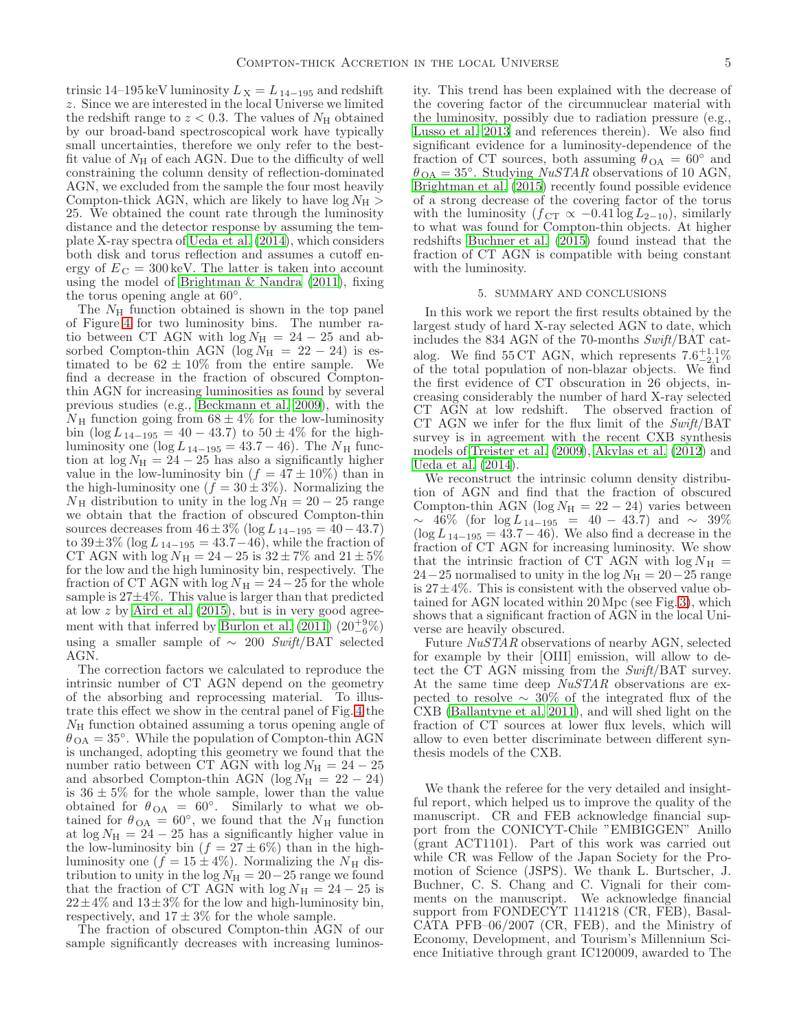trinsic 14–195 keV luminosity  $L_X = L_{14-195}$  and redshift z. Since we are interested in the local Universe we limited the redshift range to  $z < 0.3$ . The values of  $N_{\rm H}$  obtained by our broad-band spectroscopical work have typically small uncertainties, therefore we only refer to the bestfit value of  $N<sub>H</sub>$  of each AGN. Due to the difficulty of well constraining the column density of reflection-dominated AGN, we excluded from the sample the four most heavily Compton-thick AGN, which are likely to have  $log N_H$ 25. We obtained the count rate through the luminosity distance and the detector response by assuming the template X-ray spectra of [Ueda et al. \(2014](#page-5-9)), which considers both disk and torus reflection and assumes a cutoff energy of  $E_C = 300 \,\text{keV}$ . The latter is taken into account using the model of [Brightman & Nandra \(2011\)](#page-5-38), fixing the torus opening angle at 60°.

The  $N_{\rm H}$  function obtained is shown in the top panel of Figure [4](#page-3-1) for two luminosity bins. The number ratio between CT AGN with  $log N<sub>H</sub> = 24 - 25$  and absorbed Compton-thin AGN ( $log N_H$  = 22 – 24) is estimated to be  $62 \pm 10\%$  from the entire sample. We find a decrease in the fraction of obscured Comptonthin AGN for increasing luminosities as found by several previous studies (e.g., [Beckmann et al. 2009\)](#page-5-22), with the  $N_{\rm H}$  function going from  $68 \pm 4\%$  for the low-luminosity bin  $(\log L_{14-195} = 40 - 43.7)$  to  $50 \pm 4\%$  for the highluminosity one (log  $L_{14-195} = 43.7 - 46$ ). The  $N_{\rm H}$  function at  $\log N_H = 24 - 25$  has also a significantly higher value in the low-luminosity bin  $(f = 47 \pm 10\%)$  than in the high-luminosity one  $(f = 30 \pm 3\%)$ . Normalizing the  $N_{\rm H}$  distribution to unity in the log  $N_{\rm H} = 20 - 25$  range we obtain that the fraction of obscured Compton-thin sources decreases from  $46 \pm 3\%$  (log  $L_{14-195} = 40-43.7$ ) to  $39\pm3\%$  (log  $L_{14-195} = 43.7-46$ ), while the fraction of CT AGN with  $\log N_{\rm H} = 24 - 25$  is  $32 \pm 7\%$  and  $21 \pm 5\%$ for the low and the high luminosity bin, respectively. The fraction of CT AGN with  $\log N_H = 24-25$  for the whole sample is 27±4%. This value is larger than that predicted at low z by [Aird et al. \(2015](#page-5-47)), but is in very good agreement with that inferred by Burlon et al.  $(2011)$   $(20^{+9}_{-6})\%$ using a smaller sample of  $\sim$  200 Swift/BAT selected AGN.

The correction factors we calculated to reproduce the intrinsic number of CT AGN depend on the geometry of the absorbing and reprocessing material. To illustrate this effect we show in the central panel of Fig. [4](#page-3-1) the  $N_{\rm H}$  function obtained assuming a torus opening angle of  $\theta_{\text{OA}} = 35^{\circ}$ . While the population of Compton-thin AGN is unchanged, adopting this geometry we found that the number ratio between CT AGN with  $log N<sub>H</sub> = 24 - 25$ and absorbed Compton-thin AGN (log  $N_{\rm H}$  = 22 – 24) is  $36 \pm 5\%$  for the whole sample, lower than the value obtained for  $\theta_{OA} = 60^\circ$ . Similarly to what we obtained for  $\theta_{\text{OA}} = 60^{\circ}$ , we found that the  $N_{\text{H}}$  function at  $\log N_H = 24 - 25$  has a significantly higher value in the low-luminosity bin  $(f = 27 \pm 6\%)$  than in the highluminosity one  $(f = 15 \pm 4\%)$ . Normalizing the  $N_{\rm H}$  distribution to unity in the  $log N_H = 20-25$  range we found that the fraction of CT AGN with  $\log N_H = 24 - 25$  is  $22\pm4\%$  and  $13\pm3\%$  for the low and high-luminosity bin, respectively, and  $17 \pm 3\%$  for the whole sample.

The fraction of obscured Compton-thin AGN of our sample significantly decreases with increasing luminosity. This trend has been explained with the decrease of the covering factor of the circumnuclear material with the luminosity, possibly due to radiation pressure (e.g., [Lusso et al. 2013](#page-5-48) and references therein). We also find significant evidence for a luminosity-dependence of the fraction of CT sources, both assuming  $\theta_{OA} = 60^{\circ}$  and  $\theta_{\text{OA}} = 35^{\circ}$ . Studying *NuSTAR* observations of 10 AGN, [Brightman et al. \(2015\)](#page-5-40) recently found possible evidence of a strong decrease of the covering factor of the torus with the luminosity  $(f_{\text{CT}} \propto -0.41 \log L_{2-10})$ , similarly to what was found for Compton-thin objects. At higher redshifts [Buchner et al. \(2015\)](#page-5-15) found instead that the fraction of CT AGN is compatible with being constant with the luminosity.

### 5. SUMMARY AND CONCLUSIONS

In this work we report the first results obtained by the largest study of hard X-ray selected AGN to date, which includes the 834 AGN of the 70-months Swift/BAT catalog. We find 55 CT AGN, which represents  $7.6^{+1.1}_{-2.1}\%$ of the total population of non-blazar objects. We find the first evidence of CT obscuration in 26 objects, increasing considerably the number of hard X-ray selected CT AGN at low redshift. The observed fraction of CT AGN we infer for the flux limit of the  $Swith/BAT$ survey is in agreement with the recent CXB synthesis models of [Treister et al. \(2009\)](#page-5-7), [Akylas et al. \(2012](#page-5-8)) and [Ueda et al. \(2014\)](#page-5-9).

We reconstruct the intrinsic column density distribution of AGN and find that the fraction of obscured Compton-thin AGN (log  $N_{\rm H} = 22 - 24$ ) varies between  $~\sim~46\%$  (for log  $L_{14-195}$  = 40 − 43.7) and  $\sim~39\%$  $(\log L_{14-195} = 43.7 - 46)$ . We also find a decrease in the fraction of CT AGN for increasing luminosity. We show that the intrinsic fraction of CT AGN with  $\log N_{\rm H}$  =  $24-25$  normalised to unity in the log  $N_{\rm H} = 20-25$  range is  $27 \pm 4\%$ . This is consistent with the observed value obtained for AGN located within 20 Mpc (see Fig. [3\)](#page-2-1), which shows that a significant fraction of AGN in the local Universe are heavily obscured.

Future NuSTAR observations of nearby AGN, selected for example by their [OIII] emission, will allow to detect the CT AGN missing from the Swift/BAT survey. At the same time deep  $NuSTAR$  observations are expected to resolve ∼ 30% of the integrated flux of the CXB [\(Ballantyne et al. 2011\)](#page-5-49), and will shed light on the fraction of CT sources at lower flux levels, which will allow to even better discriminate between different synthesis models of the CXB.

We thank the referee for the very detailed and insightful report, which helped us to improve the quality of the manuscript. CR and FEB acknowledge financial support from the CONICYT-Chile "EMBIGGEN" Anillo (grant ACT1101). Part of this work was carried out while CR was Fellow of the Japan Society for the Promotion of Science (JSPS). We thank L. Burtscher, J. Buchner, C. S. Chang and C. Vignali for their comments on the manuscript. We acknowledge financial support from FONDECYT 1141218 (CR, FEB), Basal-CATA PFB–06/2007 (CR, FEB), and the Ministry of Economy, Development, and Tourism's Millennium Science Initiative through grant IC120009, awarded to The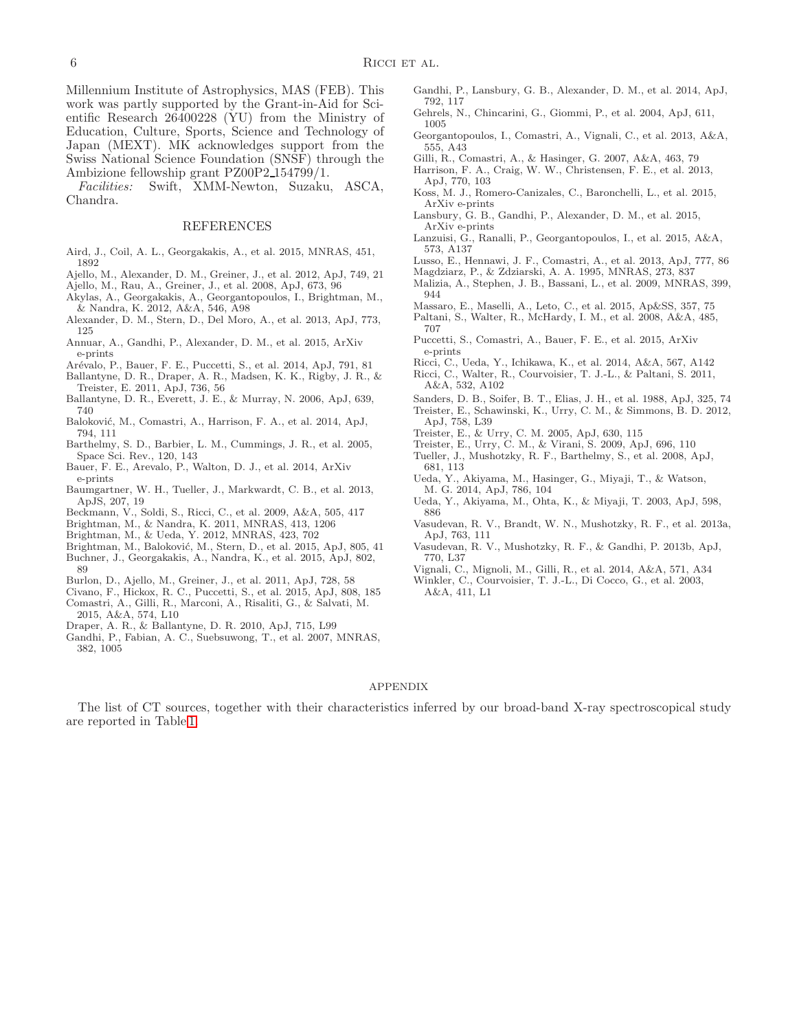Millennium Institute of Astrophysics, MAS (FEB). This work was partly supported by the Grant-in-Aid for Scientific Research 26400228 (YU) from the Ministry of Education, Culture, Sports, Science and Technology of Japan (MEXT). MK acknowledges support from the Swiss National Science Foundation (SNSF) through the Ambizione fellowship grant PZ00P2 154799/1.

Facilities: Swift, XMM-Newton, Suzaku, ASCA, Chandra.

#### REFERENCES

- <span id="page-5-47"></span>Aird, J., Coil, A. L., Georgakakis, A., et al. 2015, MNRAS, 451, 1892
- <span id="page-5-25"></span>Ajello, M., Alexander, D. M., Greiner, J., et al. 2012, ApJ, 749, 21
- <span id="page-5-21"></span>Ajello, M., Rau, A., Greiner, J., et al. 2008, ApJ, 673, 96
- <span id="page-5-8"></span>Akylas, A., Georgakakis, A., Georgantopoulos, I., Brightman, M., & Nandra, K. 2012, A&A, 546, A98
- <span id="page-5-42"></span>Alexander, D. M., Stern, D., Del Moro, A., et al. 2013, ApJ, 773, 125
- <span id="page-5-33"></span>Annuar, A., Gandhi, P., Alexander, D. M., et al. 2015, ArXiv e-prints
- <span id="page-5-29"></span>Arévalo, P., Bauer, F. E., Puccetti, S., et al. 2014, ApJ, 791, 81
- <span id="page-5-49"></span>Ballantyne, D. R., Draper, A. R., Madsen, K. K., Rigby, J. R., & Treister, E. 2011, ApJ, 736, 56
- <span id="page-5-4"></span>Ballantyne, D. R., Everett, J. E., & Murray, N. 2006, ApJ, 639, 740
- <span id="page-5-27"></span>Baloković, M., Comastri, A., Harrison, F. A., et al. 2014, ApJ, 794, 111
- <span id="page-5-16"></span>Barthelmy, S. D., Barbier, L. M., Cummings, J. R., et al. 2005, Space Sci. Rev., 120, 143
- <span id="page-5-30"></span>Bauer, F. E., Arevalo, P., Walton, D. J., et al. 2014, ArXiv e-prints
- <span id="page-5-35"></span>Baumgartner, W. H., Tueller, J., Markwardt, C. B., et al. 2013, ApJS, 207, 19
- <span id="page-5-22"></span>Beckmann, V., Soldi, S., Ricci, C., et al. 2009, A&A, 505, 417
- <span id="page-5-38"></span>Brightman, M., & Nandra, K. 2011, MNRAS, 413, 1206
- <span id="page-5-11"></span>Brightman, M., & Ueda, Y. 2012, MNRAS, 423, 702
- <span id="page-5-40"></span>Brightman, M., Baloković, M., Stern, D., et al. 2015, ApJ, 805, 41
- <span id="page-5-15"></span>Buchner, J., Georgakakis, A., Nandra, K., et al. 2015, ApJ, 802, 89
- <span id="page-5-24"></span>Burlon, D., Ajello, M., Greiner, J., et al. 2011, ApJ, 728, 58
- <span id="page-5-43"></span>Civano, F., Hickox, R. C., Puccetti, S., et al. 2015, ApJ, 808, 185
- <span id="page-5-10"></span>Comastri, A., Gilli, R., Marconi, A., Risaliti, G., & Salvati, M. 2015, A&A, 574, L10
- <span id="page-5-46"></span>Draper, A. R., & Ballantyne, D. R. 2010, ApJ, 715, L99
- <span id="page-5-5"></span>Gandhi, P., Fabian, A. C., Suebsuwong, T., et al. 2007, MNRAS, 382, 1005
- <span id="page-5-28"></span>Gandhi, P., Lansbury, G. B., Alexander, D. M., et al. 2014, ApJ, 792, 117
- <span id="page-5-17"></span>Gehrels, N., Chincarini, G., Giommi, P., et al. 2004, ApJ, 611, 1005
- <span id="page-5-12"></span>Georgantopoulos, I., Comastri, A., Vignali, C., et al. 2013, A&A, 555, A43
- <span id="page-5-6"></span>Gilli, R., Comastri, A., & Hasinger, G. 2007, A&A, 463, 79
- <span id="page-5-19"></span>Harrison, F. A., Craig, W. W., Christensen, F. E., et al. 2013, ApJ, 770, 103
- <span id="page-5-31"></span>Koss, M. J., Romero-Canizales, C., Baronchelli, L., et al. 2015, ArXiv e-prints
- <span id="page-5-32"></span>Lansbury, G. B., Gandhi, P., Alexander, D. M., et al. 2015, ArXiv e-prints
- <span id="page-5-14"></span>Lanzuisi, G., Ranalli, P., Georgantopoulos, I., et al. 2015, A&A, 573, A137
- <span id="page-5-48"></span>Lusso, E., Hennawi, J. F., Comastri, A., et al. 2013, ApJ, 777, 86
- <span id="page-5-37"></span>Magdziarz, P., & Zdziarski, A. A. 1995, MNRAS, 273, 837
- <span id="page-5-23"></span>Malizia, A., Stephen, J. B., Bassani, L., et al. 2009, MNRAS, 399, 944
- <span id="page-5-36"></span>Massaro, E., Maselli, A., Leto, C., et al. 2015, Ap&SS, 357, 75
- <span id="page-5-20"></span>Paltani, S., Walter, R., McHardy, I. M., et al. 2008, A&A, 485, 707
- <span id="page-5-34"></span>Puccetti, S., Comastri, A., Bauer, F. E., et al. 2015, ArXiv e-prints
- <span id="page-5-44"></span><span id="page-5-39"></span>Ricci, C., Ueda, Y., Ichikawa, K., et al. 2014, A&A, 567, A142 Ricci, C., Walter, R., Courvoisier, T. J.-L., & Paltani, S. 2011,
- A&A, 532, A102
- <span id="page-5-0"></span>Sanders, D. B., Soifer, B. T., Elias, J. H., et al. 1988, ApJ, 325, 74 Treister, E., Schawinski, K., Urry, C. M., & Simmons, B. D. 2012,
- <span id="page-5-1"></span>ApJ, 758, L39 Treister, E., & Urry, C. M. 2005, ApJ, 630, 115
- <span id="page-5-7"></span><span id="page-5-3"></span>Treister, E., Urry, C. M., & Virani, S. 2009, ApJ, 696, 110
- <span id="page-5-41"></span>Tueller, J., Mushotzky, R. F., Barthelmy, S., et al. 2008, ApJ, 681, 113
- <span id="page-5-9"></span>Ueda, Y., Akiyama, M., Hasinger, G., Miyaji, T., & Watson, M. G. 2014, ApJ, 786, 104
- <span id="page-5-2"></span>Ueda, Y., Akiyama, M., Ohta, K., & Miyaji, T. 2003, ApJ, 598, 886
- <span id="page-5-26"></span>Vasudevan, R. V., Brandt, W. N., Mushotzky, R. F., et al. 2013a, ApJ, 763, 111
- <span id="page-5-45"></span>Vasudevan, R. V., Mushotzky, R. F., & Gandhi, P. 2013b, ApJ, 770, L37
- <span id="page-5-18"></span><span id="page-5-13"></span>Vignali, C., Mignoli, M., Gilli, R., et al. 2014, A&A, 571, A34 Winkler, C., Courvoisier, T. J.-L., Di Cocco, G., et al. 2003,
- A&A, 411, L1

#### APPENDIX

The list of CT sources, together with their characteristics inferred by our broad-band X-ray spectroscopical study are reported in Table [1.](#page-6-0)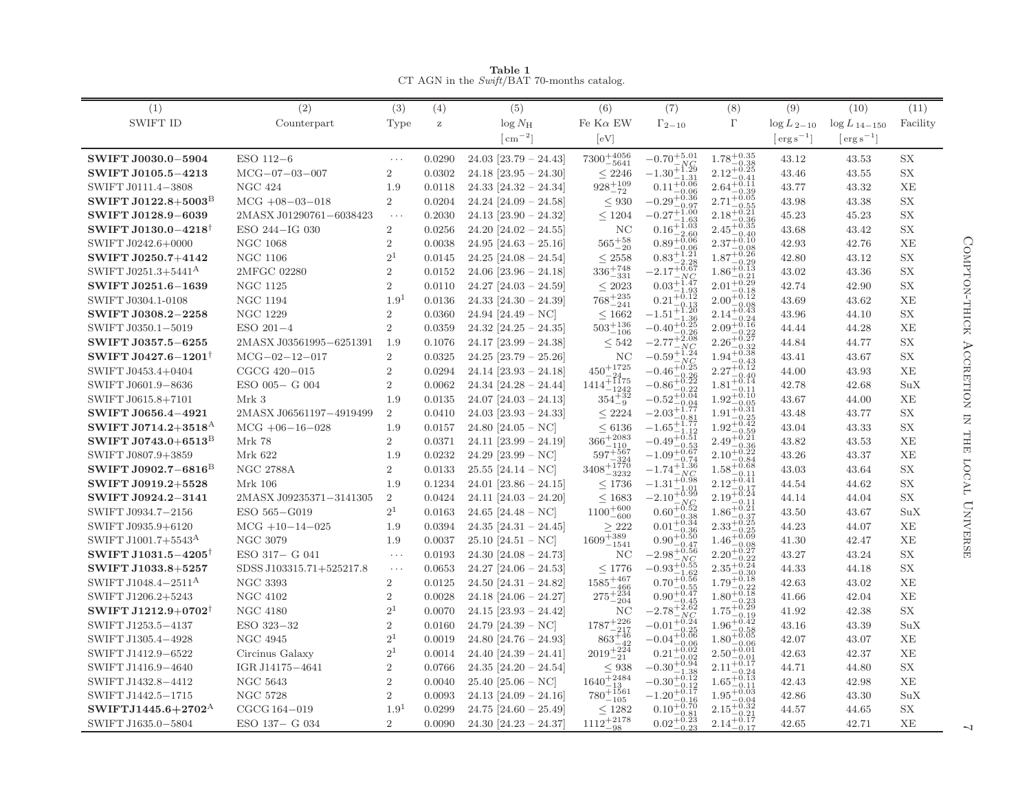| (1)                             | (2)                      | (3)                  | (4)      | (5)                         | (6)                                                         | (7)                                                         | (8)                                      | (9)                | (10)                                     | (11)      |
|---------------------------------|--------------------------|----------------------|----------|-----------------------------|-------------------------------------------------------------|-------------------------------------------------------------|------------------------------------------|--------------------|------------------------------------------|-----------|
| SWIFT ID                        | Counterpart              | Type                 | $\rm{z}$ | $\log N_{\rm H}$            | Fe $K\alpha$ EW                                             | $\Gamma_{2-10}$                                             | $\Gamma$                                 | $\log L_{2-10}$    | $\log L_{14-150}$                        | Facility  |
|                                 |                          |                      |          | $\lceil$ cm <sup>-2</sup> ] | [eV]                                                        |                                                             |                                          | $\rm{erg\,s}^{-1}$ | $\lceil \text{erg}\,\text{s}^{-1}\rceil$ |           |
| SWIFT J0030.0-5904              | ESO 112-6                | $\ldots$             | 0.0290   | $24.03$ [23.79 - 24.43]     | $7300^{+4056}_{-5641}$                                      | $-0.70^{\mathrm {+5.01}}$                                   | $1.78^{+0.35}_{-\phantom{0}}$<br>$-0.38$ | 43.12              | 43.53                                    | <b>SX</b> |
| <b>SWIFT J0105.5-4213</b>       | $MCG-07-03-007$          | $\overline{2}$       | 0.0302   | $24.18$ [ $23.95 - 24.30$ ] | < 2246                                                      | $-1.30^{+1.29}_{-1.29}$                                     | $^{+0.25}$<br>2.12<br>0.41               | 43.46              | 43.55                                    | <b>SX</b> |
| SWIFT J0111.4-3808              | <b>NGC 424</b>           | 1.9                  | 0.0118   | $24.33$ [ $24.32 - 24.34$ ] | $928^{+109}_{-72}$                                          | $^{-1.31}_{+0.06}$<br>0.11<br>$-0.06$                       | 0.39                                     | 43.77              | 43.32                                    | XE        |
| SWIFT J0122.8+5003 <sup>B</sup> | $MCG +08-03-018$         | $\overline{2}$       | 0.0204   | $24.24$ [24.09 - 24.58]     | < 930                                                       | $-0.29^{+0.36}_{-0.07}$<br>-0.9'                            | -0.05<br>2.71                            | 43.98              | 43.38                                    | <b>SX</b> |
| SWIFT J0128.9-6039              | 2MASX J01290761-6038423  | $\ldots$ .           | 0.2030   | $24.13$ [23.90 - 24.32]     | < 1204                                                      | $-0.27 + 1.00$                                              | -0.21<br>2.18                            | 45.23              | 45.23                                    | <b>SX</b> |
| SWIFT J0130.0-4218              | ESO 244-IG 030           | $\overline{2}$       | 0.0256   | $24.20$ [24.02 - 24.55]     | NC                                                          | 0.16                                                        | $-0.36$                                  | 43.68              | 43.42                                    | <b>SX</b> |
| SWIFT J0242.6+0000              | <b>NGC 1068</b>          | 2                    | 0.0038   | $24.95$ [24.63 - 25.16]     | ${\bf 565^{+58}_{-20}}$                                     | $0.89^{+5.06}_{-0.06}$                                      | -0.10                                    | 42.93              | 42.76                                    | XE        |
| SWIFT J0250.7+4142              | NGC 1106                 | 2 <sup>1</sup>       | 0.0145   | $24.25$ [24.08 - 24.54]     | < 2558                                                      | $0.83^{+\frac{1}{2}}$                                       | 0.29                                     | 42.80              | 43.12                                    | <b>SX</b> |
| SWIFT J0251.3+5441 <sup>A</sup> | 2MFGC 02280              | 2                    | 0.0152   | $24.06$ [23.96 - 24.18]     | $336^{+748}_{-331}$                                         | $-2.17^{+0.67}_{-0.67}$                                     | $-0.13$<br>1.86                          | 43.02              | 43.36                                    | <b>SX</b> |
| SWIFT J0251.6-1639              | <b>NGC 1125</b>          | $\overline{2}$       | 0.0110   | $24.27$ [24.03 - 24.59]     | < 2023                                                      | $0.03^{+1.47}_{-1.47}$                                      | 0.29<br>2.01                             | 42.74              | 42.90                                    | <b>SX</b> |
| SWIFT J0304.1-0108              | <b>NGC 1194</b>          | 1.9 <sup>1</sup>     | 0.0136   | $24.33$ [24.30 - 24.39]     | $768^{+235}_{-241}$                                         | $^{+0.12}$<br>0.21<br>$-0.13$                               | 2.00<br>0.08                             | 43.69              | 43.62                                    | XE        |
| SWIFT J0308.2-2258              | NGC 1229                 | $\overline{2}$       | 0.0360   | 24.94 [24.49 – NC]          | ${}_{\leq 1662}$                                            | $-1.51^{+\tilde{1}\cdot\tilde{2}\tilde{0}}$                 | $-0.43$<br>0.24                          | 43.96              | 44.10                                    | <b>SX</b> |
| SWIFT J0350.1-5019              | $ESO 201-4$              | $\overline{2}$       | 0.0359   | $24.32$ [ $24.25 - 24.35$ ] | $503^{+136}_{-106}$                                         | $-0.40^{+0.25}_{-0.22}$<br>-0.26                            | $\scriptstyle\pm 0.16$<br>2.09<br>0.22   | 44.44              | 44.28                                    | XE        |
| SWIFT J0357.5-6255              | 2MASX J03561995-6251391  | 1.9                  | 0.1076   | $24.17$ [23.99 - 24.38]     | < 542                                                       | $-2.08$<br>$-2.77$<br>- N C                                 | $-0.27$<br>2.26<br>0.32                  | 44.84              | 44.77                                    | <b>SX</b> |
| SWIFT J0427.6-1201 <sup>†</sup> | $MCG-02-12-017$          | $\overline{2}$       | 0.0325   | $24.25$ [23.79 - 25.26]     | NC                                                          | $-0.59^{+1.24}_{N}$                                         | $-0.38$                                  | 43.41              | 43.67                                    | <b>SX</b> |
| SWIFT J0453.4+0404              | CGCG 420-015             | $\overline{2}$       | 0.0294   | $24.14$ [ $23.93 - 24.18$ ] | $450^{+1725}_{-24}$                                         | $-0.46^{+0.25}_{-0.26}$<br>$-0.26$                          | -0.40                                    | 44.00              | 43.93                                    | XE        |
| SWIFT J0601.9-8636              | ESO 005- G 004           | 2                    | 0.0062   | $24.34$ [24.28 - 24.44]     | $1414 + \frac{1175}{1012}$<br>$-1242$                       | $-0.86^{+\check{0}.\bar{2}\check{2}}$<br>0.22               | $^{+0.14}$<br>1.81                       | 42.78              | 42.68                                    | SuX       |
| SWIFT J0615.8+7101              | Mrk 3                    | 1.9                  | 0.0135   | $24.07$ [ $24.03 - 24.13$ ] | $354^{+32}_{-9}$                                            | $-0.52^{+\check{0}.\check{0}\check{4}}$                     | $1.92^{+0.10}_{-0.02}$                   | 43.67              | 44.00                                    | XE        |
| SWIFT J0656.4-4921              | 2MASX J06561197-4919499  | $\overline{2}$       | 0.0410   | $24.03$ [23.93 - 24.33]     | < 2224                                                      | $-2.03^{+1.7}_{-0.8}$                                       | $+0.3$<br>1.91                           | 43.48              | 43.77                                    | <b>SX</b> |
| SWIFT J0714.2+3518 <sup>A</sup> | $MCG +06-16-028$         | 1.9                  | 0.0157   | $24.80$ [24.05 – NC]        | $\leq 6136$                                                 | $-0.81$<br>$+1.77$<br>$-1.65$                               | -0.42<br>$1.92^{+}$                      | 43.04              | 43.33                                    | <b>SX</b> |
| SWIFT J0743.0+6513 <sup>B</sup> | Mrk 78                   | $\overline{2}$       | 0.0371   | $24.11$ [23.99 - 24.19]     | $366^{+2083}_{-110}$                                        | $-0.49^{+0.51}_{-0.52}$<br>$-0.53$                          | $^{-0.59}_{+0.21}$<br>$-0.36$            | 43.82              | 43.53                                    | XE        |
| SWIFT J0807.9+3859              | Mrk 622                  | 1.9                  | 0.0232   | $24.29$ [23.99 – NC]        |                                                             | $-1.09^{+0.67}_{-0.7}$<br>$-0.74$                           | $+0.22$<br>2.10<br>$-0.84$               | 43.26              | 43.37                                    | XE        |
| SWIFT J0902.7-6816 <sup>B</sup> | <b>NGC 2788A</b>         | $\overline{2}$       | 0.0133   | $25.55$ [ $24.14 - NC$ ]    | $\substack{ \\ 597^{+567}_{-324} \\ 3408^{+1770}_{-3232} }$ | $-1.74^{+1.36}_{-1.28}$                                     | -0.68<br>011                             | 43.03              | 43.64                                    | <b>SX</b> |
| SWIFT J0919.2+5528              | Mrk 106                  | 1.9                  | 0.1234   | $24.01$ [ $23.86 - 24.15$ ] | < 1736                                                      | $^{+0.98}$<br>$-1.31$<br>-1.01                              | -0.41                                    | 44.54              | 44.62                                    | <b>SX</b> |
| SWIFT J0924.2-3141              | 2MASX J09235371-3141305  | $\overline{2}$       | 0.0424   | $24.11$ [ $24.03 - 24.20$ ] | < 1683                                                      | $-2.10^{+0.99}_{-0.02}$                                     | $-0.24$<br>2.19<br>-0.11                 | 44.14              | 44.04                                    | <b>SX</b> |
| SWIFT J0934.7-2156              | ESO 565-G019             | 2 <sup>1</sup>       | 0.0163   | 24.65 [24.48 – NC]          | $1100^{+600}_{-600}$                                        | $^{+0.52}$<br>$0.60^{-}$                                    | $-0.21$                                  | 43.50              | 43.67                                    | SuX       |
| SWIFT J0935.9+6120              | $MCG + 10 - 14 - 025$    | 1.9                  | 0.0394   | $24.35$ [ $24.31 - 24.45$ ] | >222                                                        | $^{-0.38}_{+0.34}$<br>0.01                                  | $_{+0.25}^{+0.37}$<br>2.33               | 44.23              | 44.07                                    | XE        |
| SWIFT J1001.7+5543 <sup>A</sup> | NGC 3079                 | 1.9                  | 0.0037   | $25.10$ [ $24.51 - NC$ ]    | $1609^{+389}_{-1541}$                                       | $0.90^{+0.50}_{-0.47}$<br>$-0.47$                           | $-0.09$<br>1.46<br>$-0.08$               | 41.30              | 42.47                                    | XE        |
| SWIFT J1031.5-4205              | ESO 317- G 041           | $\sim$ $\sim$ $\sim$ | 0.0193   | $24.30$ [ $24.08 - 24.73$ ] | ΝC                                                          | $-2.98^{+0.56}_{-0.76}$                                     | -0.2′<br>2.20                            | 43.27              | 43.24                                    | <b>SX</b> |
| SWIFT J1033.8+5257              | SDSS J103315.71+525217.8 | $\ldots$             | 0.0653   | $24.27$ [24.06 - 24.53]     | < 1776                                                      | $-0.93^{+0.55}_{-0.55}$                                     | $-0.24$<br>2.35                          | 44.33              | 44.18                                    | <b>SX</b> |
| SWIFT J1048.4-2511 <sup>A</sup> | <b>NGC 3393</b>          | $\overline{2}$       | 0.0125   | $24.50$ [24.31 - 24.82]     | $1585^{+467}_{-466}$                                        | $0.70^{+0.56}_{-0.77}$<br>$-0.55$                           | 1.79<br>$-0.22$                          | 42.63              | 43.02                                    | XE        |
| SWIFT J1206.2+5243              | <b>NGC 4102</b>          | $\overline{2}$       | 0.0028   | $24.18$ [24.06 - 24.27]     | $275^{+\, \omega}_{-204}$                                   | $0.90^{+0.47}_{-0.47}$                                      | $_{+0.18}$<br>1.80                       | 41.66              | 42.04                                    | XE        |
| SWIFT J1212.9+0702†             | NGC 4180                 | 2 <sup>1</sup>       | 0.0070   | $24.15$ [ $23.93 - 24.42$ ] | ΝC                                                          | $-2.78^{+2.62}_{-2.62}$<br>NC                               | 0.29<br>1.75<br>-019                     | 41.92              | 42.38                                    | <b>SX</b> |
| SWIFT J1253.5-4137              | ESO 323-32               | $\overline{2}$       | 0.0160   | $24.79$ [24.39 – NC]        | $1787^{+226}_{-217}$                                        | $+0.24$<br>$-0.01$<br>0.25                                  | $^{+0.42}$<br>1.96<br>$-0.58$            | 43.16              | 43.39                                    | SuX       |
| SWIFT J1305.4-4928              | NGC 4945                 | 2 <sup>1</sup>       | 0.0019   | $24.80$ [24.76 - 24.93]     | $863^{+46}_{-42}$                                           | $-0.04^{+\check{0}.\check{0}\check{6}}$                     | $+0.05$<br>1.80                          | 42.07              | 43.07                                    | XE        |
| SWIFT J1412.9-6522              | Circinus Galaxy          | 2 <sup>1</sup>       | 0.0014   | 24.40 [24.39 - 24.41]       | $2019^{+22\overline{4}}_{-21}$                              | $+0.02$<br>0.21                                             | $2.50^{+0.01}_{-0.01}$                   | 42.63              | 42.37                                    | XE        |
| SWIFT J1416.9-4640              | IGR J14175-4641          | $\,2\,$              | 0.0766   | $24.35$ [ $24.20 - 24.54$ ] | < 938                                                       | $-0.30^{+0.02}_{+0.94}$                                     | -0.17<br>2.11                            | 44.71              | 44.80                                    | <b>SX</b> |
| SWIFT J1432.8-4412              | NGC 5643                 | $\overline{2}$       | 0.0040   | $25.40$ [ $25.06 - NC$ ]    | $1640^{+2484}_{-2484}$                                      | $-0.30_{\rule{0pt}{6pt}-0.12}^{\rule[-3pt]{0pt}{3pt}-1.38}$ | 0.13                                     | 42.43              | 42.98                                    | XE        |
| SWIFT J1442.5-1715              | NGC 5728                 | $\overline{2}$       | 0.0093   | $24.13$ [ $24.09 - 24.16$ ] | $780 + 1361$<br>$780 + 1561$                                | $-1.20^{+\check{0}.\check{1}'}$<br>0.16                     | -0.03<br>0.04                            | 42.86              | 43.30                                    | SuX       |
| SWIFTJ1445.6+2702 <sup>A</sup>  | CGCG 164-019             | 1.9 <sup>1</sup>     | 0.0299   | $24.75$ [24.60 - 25.49]     | $\leq 1282$                                                 | $0.10^{+0.70}_{-0.70}$<br>$-0.81$                           | 0.32<br>$-0.21$                          | 44.57              | 44.65                                    | <b>SX</b> |
| SWIFT J1635.0-5804              | ESO 137- G 034           | $\overline{2}$       | 0.0090   | $24.30$ [24.23 - 24.37]     | $1112^{+2178}_{-98}$                                        | $0.02^{+\check{0}.\check{2}3}_{0.02}$                       | $2.14^{+0.17}_{-0.17}$                   | 42.65              | 42.71                                    | XE        |

<span id="page-6-0"></span>Table 1<br>CT AGN in the  $\textit{Swift}/\text{BAT}$  70-months catalog.

 $\overline{\phantom{0}}$